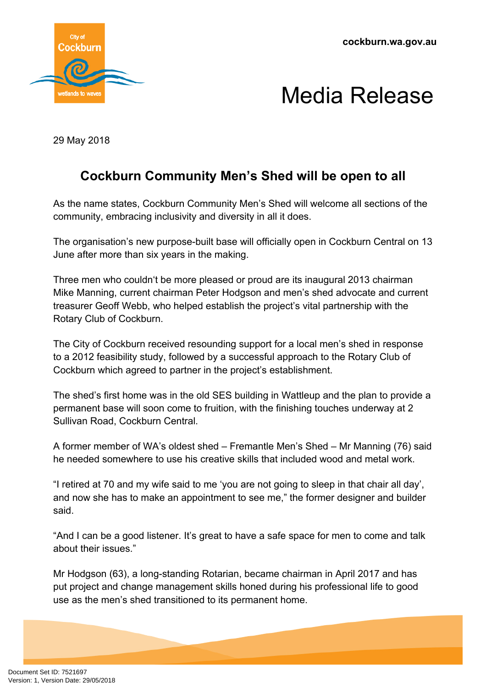**cockburn.wa.gov.au**





29 May 2018

## **Cockburn Community Men's Shed will be open to all**

As the name states, Cockburn Community Men's Shed will welcome all sections of the community, embracing inclusivity and diversity in all it does.

The organisation's new purpose-built base will officially open in Cockburn Central on 13 June after more than six years in the making.

Three men who couldn't be more pleased or proud are its inaugural 2013 chairman Mike Manning, current chairman Peter Hodgson and men's shed advocate and current treasurer Geoff Webb, who helped establish the project's vital partnership with the Rotary Club of Cockburn.

The City of Cockburn received resounding support for a local men's shed in response to a 2012 feasibility study, followed by a successful approach to the Rotary Club of Cockburn which agreed to partner in the project's establishment.

The shed's first home was in the old SES building in Wattleup and the plan to provide a permanent base will soon come to fruition, with the finishing touches underway at 2 Sullivan Road, Cockburn Central.

A former member of WA's oldest shed – Fremantle Men's Shed – Mr Manning (76) said he needed somewhere to use his creative skills that included wood and metal work.

"I retired at 70 and my wife said to me 'you are not going to sleep in that chair all day', and now she has to make an appointment to see me," the former designer and builder said.

"And I can be a good listener. It's great to have a safe space for men to come and talk about their issues."

Mr Hodgson (63), a long-standing Rotarian, became chairman in April 2017 and has put project and change management skills honed during his professional life to good use as the men's shed transitioned to its permanent home.

Document Set ID: 7521697<br>Version: 1, Version Date: 29/05/2018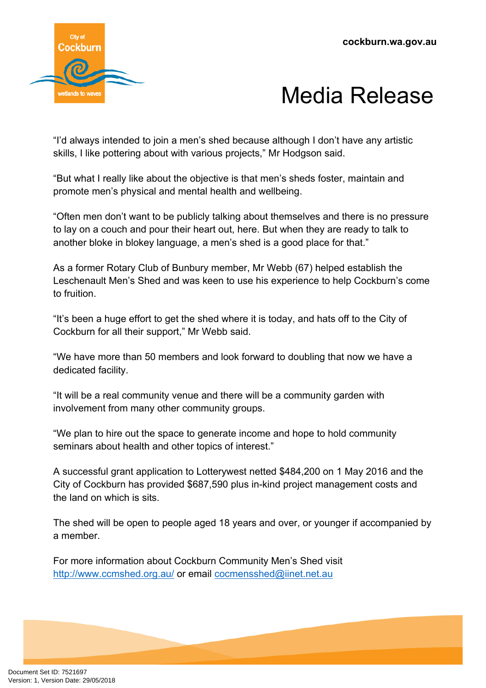



"I'd always intended to join a men's shed because although I don't have any artistic skills, I like pottering about with various projects," Mr Hodgson said.

"But what I really like about the objective is that men's sheds foster, maintain and promote men's physical and mental health and wellbeing.

"Often men don't want to be publicly talking about themselves and there is no pressure to lay on a couch and pour their heart out, here. But when they are ready to talk to another bloke in blokey language, a men's shed is a good place for that."

As a former Rotary Club of Bunbury member, Mr Webb (67) helped establish the Leschenault Men's Shed and was keen to use his experience to help Cockburn's come to fruition.

"It's been a huge effort to get the shed where it is today, and hats off to the City of Cockburn for all their support," Mr Webb said.

"We have more than 50 members and look forward to doubling that now we have a dedicated facility.

"It will be a real community venue and there will be a community garden with involvement from many other community groups.

"We plan to hire out the space to generate income and hope to hold community seminars about health and other topics of interest."

A successful grant application to Lotterywest netted \$484,200 on 1 May 2016 and the City of Cockburn has provided \$687,590 plus in-kind project management costs and the land on which is sits.

The shed will be open to people aged 18 years and over, or younger if accompanied by a member.

For more information about Cockburn Community Men's Shed visit <http://www.ccmshed.org.au/> or email [cocmensshed@iinet.net.au](mailto:cocmensshed@iinet.net.au)